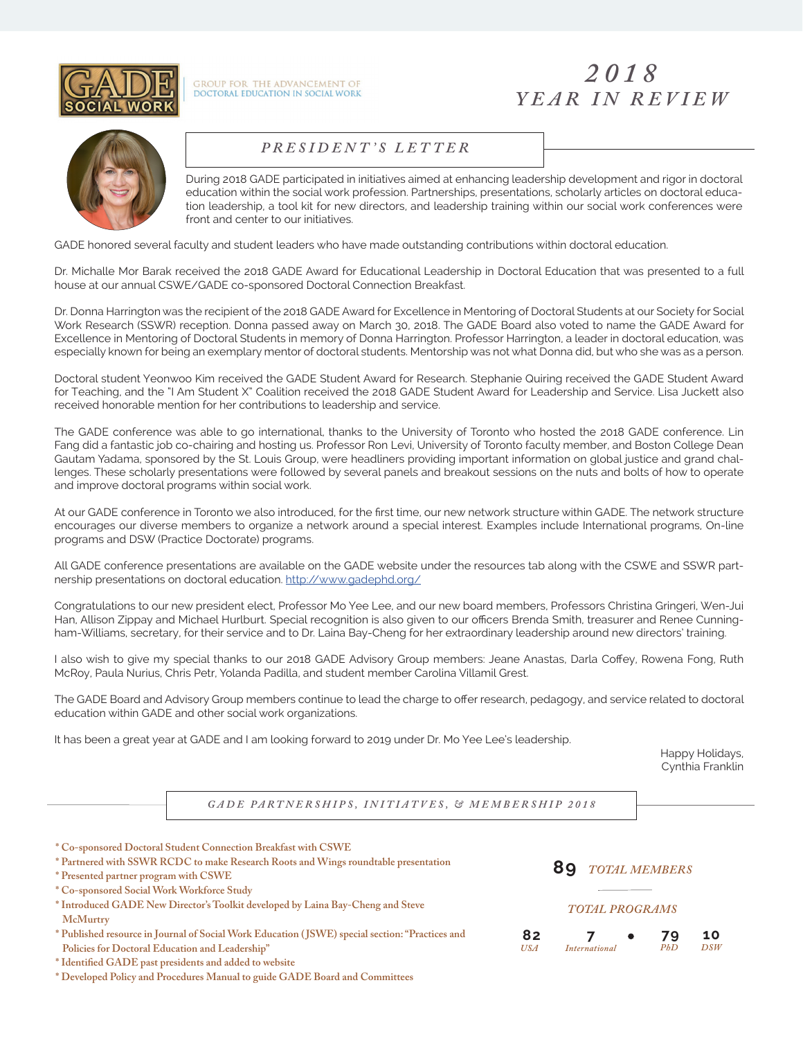

GROUP FOR THE ADVANCEMENT OF<br>DOCTORAL EDUCATION IN SOCIAL WORK

# *2018 YEAR IN REVIEW*



#### *MEDIA KIT • 2017 PRESIDENT 'S LETTER*

During 2018 GADE participated in initiatives aimed at enhancing leadership development and rigor in doctoral education within the social work profession. Partnerships, presentations, scholarly articles on doctoral education leadership, a tool kit for new directors, and leadership training within our social work conferences were front and center to our initiatives.

GADE honored several faculty and student leaders who have made outstanding contributions within doctoral education.

Dr. Michalle Mor Barak received the 2018 GADE Award for Educational Leadership in Doctoral Education that was presented to a full house at our annual CSWE/GADE co-sponsored Doctoral Connection Breakfast.

Dr. Donna Harrington was the recipient of the 2018 GADE Award for Excellence in Mentoring of Doctoral Students at our Society for Social Work Research (SSWR) reception. Donna passed away on March 30, 2018. The GADE Board also voted to name the GADE Award for Excellence in Mentoring of Doctoral Students in memory of Donna Harrington. Professor Harrington, a leader in doctoral education, was especially known for being an exemplary mentor of doctoral students. Mentorship was not what Donna did, but who she was as a person.

Doctoral student Yeonwoo Kim received the GADE Student Award for Research. Stephanie Quiring received the GADE Student Award for Teaching, and the "I Am Student X" Coalition received the 2018 GADE Student Award for Leadership and Service. Lisa Juckett also received honorable mention for her contributions to leadership and service.

The GADE conference was able to go international, thanks to the University of Toronto who hosted the 2018 GADE conference. Lin Fang did a fantastic job co-chairing and hosting us. Professor Ron Levi, University of Toronto faculty member, and Boston College Dean Gautam Yadama, sponsored by the St. Louis Group, were headliners providing important information on global justice and grand challenges. These scholarly presentations were followed by several panels and breakout sessions on the nuts and bolts of how to operate and improve doctoral programs within social work.

At our GADE conference in Toronto we also introduced, for the first time, our new network structure within GADE. The network structure encourages our diverse members to organize a network around a special interest. Examples include International programs, On-line programs and DSW (Practice Doctorate) programs.

All GADE conference presentations are available on the GADE website under the resources tab along with the CSWE and SSWR partnership presentations on doctoral education. http://www.gadephd.org/

Congratulations to our new president elect, Professor Mo Yee Lee, and our new board members, Professors Christina Gringeri, Wen-Jui Han, Allison Zippay and Michael Hurlburt. Special recognition is also given to our officers Brenda Smith, treasurer and Renee Cunningham-Williams, secretary, for their service and to Dr. Laina Bay-Cheng for her extraordinary leadership around new directors' training.

I also wish to give my special thanks to our 2018 GADE Advisory Group members: Jeane Anastas, Darla Coffey, Rowena Fong, Ruth McRoy, Paula Nurius, Chris Petr, Yolanda Padilla, and student member Carolina Villamil Grest.

The GADE Board and Advisory Group members continue to lead the charge to offer research, pedagogy, and service related to doctoral education within GADE and other social work organizations.

It has been a great year at GADE and I am looking forward to 2019 under Dr. Mo Yee Lee's leadership.

Happy Holidays, Cynthia Franklin

GADE PARTNERSHIPS, INITIATVES, & MEMBERSHIP 2018

| * Co-sponsored Doctoral Student Connection Breakfast with CSWE<br>* Partnered with SSWR RCDC to make Research Roots and Wings roundtable presentation<br>* Presented partner program with CSWE<br>* Co-sponsored Social Work Workforce Study |                       | 89<br><b>TOTAL MEMBERS</b> |  |           |           |
|----------------------------------------------------------------------------------------------------------------------------------------------------------------------------------------------------------------------------------------------|-----------------------|----------------------------|--|-----------|-----------|
| * Introduced GADE New Director's Toolkit developed by Laina Bay-Cheng and Steve<br><b>McMurtry</b>                                                                                                                                           | <b>TOTAL PROGRAMS</b> |                            |  |           |           |
| * Published resource in Journal of Social Work Education (JSWE) special section: "Practices and<br>Policies for Doctoral Education and Leadership"                                                                                           | 82<br><b>USA</b>      | <i>International</i>       |  | 79<br>PbD | 10<br>DSW |
| * Identified GADE past presidents and added to website<br>* Developed Policy and Procedures Manual to guide GADE Board and Committees                                                                                                        |                       |                            |  |           |           |